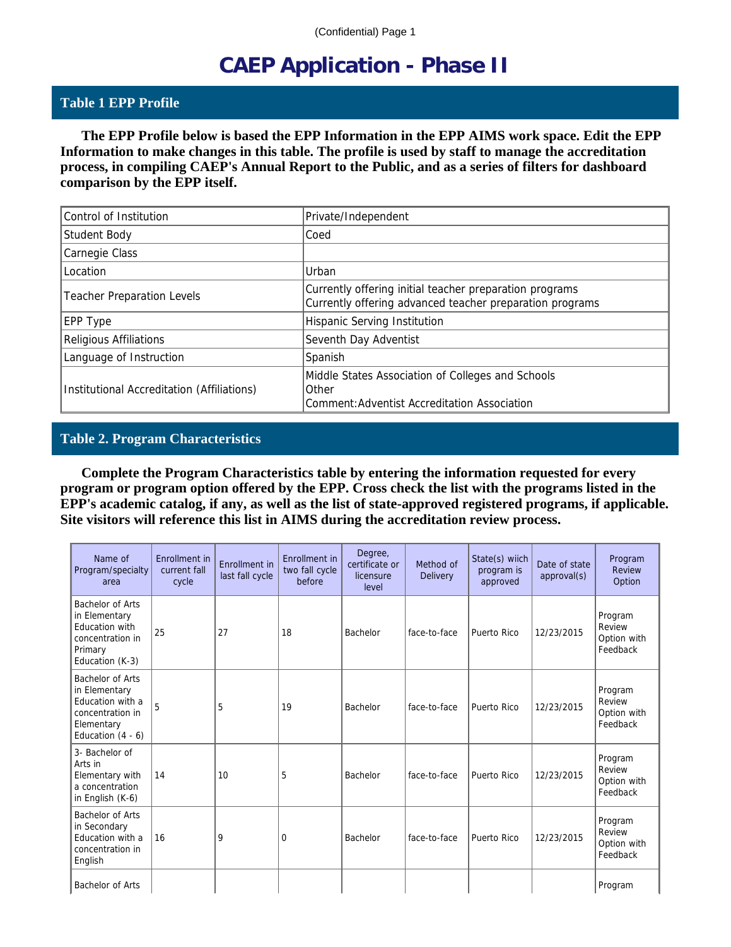# **CAEP Application - Phase II**

#### **Table 1 EPP Profile**

 **The EPP Profile below is based the EPP Information in the EPP AIMS work space. Edit the EPP Information to make changes in this table. The profile is used by staff to manage the accreditation process, in compiling CAEP's Annual Report to the Public, and as a series of filters for dashboard comparison by the EPP itself.**

| Control of Institution                     | Private/Independent                                                                                                 |
|--------------------------------------------|---------------------------------------------------------------------------------------------------------------------|
| Student Body                               | Coed                                                                                                                |
| Carnegie Class                             |                                                                                                                     |
| Location                                   | Urban                                                                                                               |
| <b>Teacher Preparation Levels</b>          | Currently offering initial teacher preparation programs<br>Currently offering advanced teacher preparation programs |
| EPP Type                                   | Hispanic Serving Institution                                                                                        |
| <b>Religious Affiliations</b>              | Seventh Day Adventist                                                                                               |
| Language of Instruction                    | Spanish                                                                                                             |
| Institutional Accreditation (Affiliations) | Middle States Association of Colleges and Schools<br>Other<br>Comment: Adventist Accreditation Association          |

#### **Table 2. Program Characteristics**

 **Complete the Program Characteristics table by entering the information requested for every program or program option offered by the EPP. Cross check the list with the programs listed in the EPP's academic catalog, if any, as well as the list of state-approved registered programs, if applicable. Site visitors will reference this list in AIMS during the accreditation review process.**

| Name of<br>Program/specialty<br>area                                                                           | Enrollment in<br>current fall<br>cycle | Enrollment in<br>last fall cycle | Enrollment in<br>two fall cycle<br>before | Degree,<br>certificate or<br>licensure<br>level | Method of<br><b>Delivery</b> | State(s) wiich<br>program is<br>approved | Date of state<br>approval(s) | Program<br>Review<br>Option                  |
|----------------------------------------------------------------------------------------------------------------|----------------------------------------|----------------------------------|-------------------------------------------|-------------------------------------------------|------------------------------|------------------------------------------|------------------------------|----------------------------------------------|
| Bachelor of Arts<br>in Elementary<br><b>Education with</b><br>concentration in<br>Primary<br>Education (K-3)   | 25                                     | 27                               | 18                                        | Bachelor                                        | face-to-face                 | Puerto Rico                              | 12/23/2015                   | Program<br>Review<br>Option with<br>Feedback |
| Bachelor of Arts<br>in Elementary<br>Education with a<br>concentration in<br>Elementary<br>Education $(4 - 6)$ | 5                                      | 5                                | 19                                        | Bachelor                                        | face-to-face                 | Puerto Rico                              | 12/23/2015                   | Program<br>Review<br>Option with<br>Feedback |
| 3- Bachelor of<br>Arts in<br>Elementary with<br>a concentration<br>in English (K-6)                            | 14                                     | 10                               | 5                                         | Bachelor                                        | face-to-face                 | Puerto Rico                              | 12/23/2015                   | Program<br>Review<br>Option with<br>Feedback |
| Bachelor of Arts<br>in Secondary<br>Education with a<br>concentration in<br>English                            | 16                                     | 9                                | $\Omega$                                  | Bachelor                                        | face-to-face                 | Puerto Rico                              | 12/23/2015                   | Program<br>Review<br>Option with<br>Feedback |
| Bachelor of Arts                                                                                               |                                        |                                  |                                           |                                                 |                              |                                          |                              | Program                                      |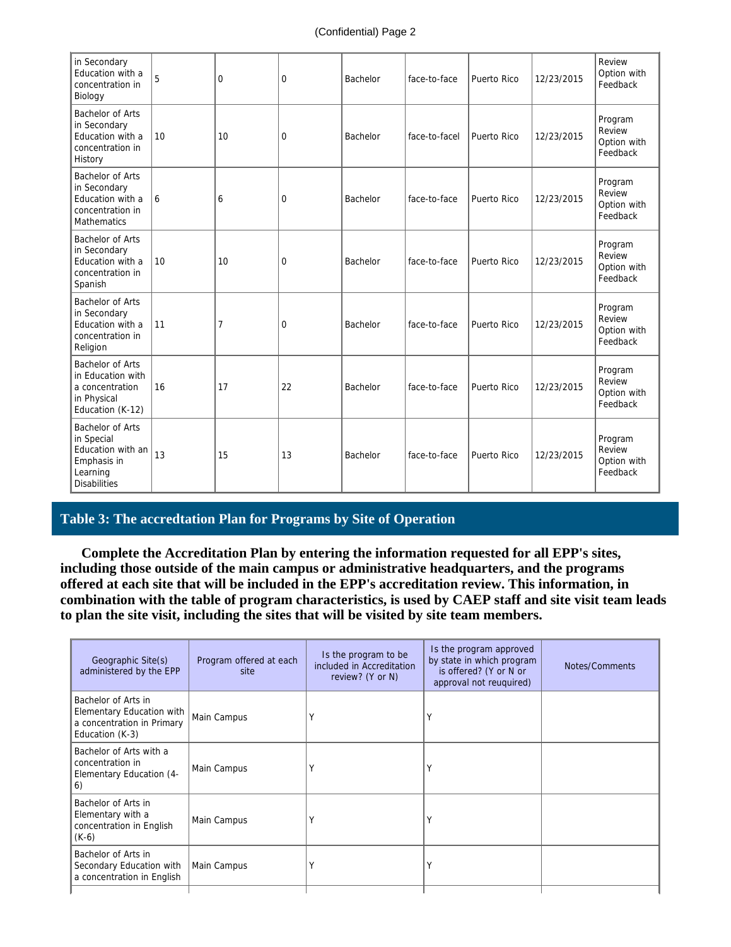| in Secondary<br>Education with a<br>concentration in<br>Biology                                       | 5  | 0              | $\mathbf 0$ | Bachelor | face-to-face  | Puerto Rico | 12/23/2015 | Review<br>Option with<br>Feedback            |
|-------------------------------------------------------------------------------------------------------|----|----------------|-------------|----------|---------------|-------------|------------|----------------------------------------------|
| Bachelor of Arts<br>in Secondary<br>Education with a<br>concentration in<br>History                   | 10 | 10             | $\mathbf 0$ | Bachelor | face-to-facel | Puerto Rico | 12/23/2015 | Program<br>Review<br>Option with<br>Feedback |
| Bachelor of Arts<br>in Secondary<br>Education with a<br>concentration in<br><b>Mathematics</b>        | 6  | 6              | $\mathbf 0$ | Bachelor | face-to-face  | Puerto Rico | 12/23/2015 | Program<br>Review<br>Option with<br>Feedback |
| Bachelor of Arts<br>in Secondary<br>Education with a<br>concentration in<br>Spanish                   | 10 | 10             | $\mathbf 0$ | Bachelor | face-to-face  | Puerto Rico | 12/23/2015 | Program<br>Review<br>Option with<br>Feedback |
| Bachelor of Arts<br>in Secondary<br>Education with a<br>concentration in<br>Religion                  | 11 | $\overline{7}$ | $\mathbf 0$ | Bachelor | face-to-face  | Puerto Rico | 12/23/2015 | Program<br>Review<br>Option with<br>Feedback |
| Bachelor of Arts<br>in Education with<br>a concentration<br>in Physical<br>Education (K-12)           | 16 | 17             | 22          | Bachelor | face-to-face  | Puerto Rico | 12/23/2015 | Program<br>Review<br>Option with<br>Feedback |
| Bachelor of Arts<br>in Special<br>Education with an<br>Emphasis in<br>Learning<br><b>Disabilities</b> | 13 | 15             | 13          | Bachelor | face-to-face  | Puerto Rico | 12/23/2015 | Program<br>Review<br>Option with<br>Feedback |

## **Table 3: The accredtation Plan for Programs by Site of Operation**

 **Complete the Accreditation Plan by entering the information requested for all EPP's sites, including those outside of the main campus or administrative headquarters, and the programs offered at each site that will be included in the EPP's accreditation review. This information, in combination with the table of program characteristics, is used by CAEP staff and site visit team leads to plan the site visit, including the sites that will be visited by site team members.**

| Geographic Site(s)<br>administered by the EPP                                                     | Program offered at each<br>site | Is the program to be<br>included in Accreditation<br>review? (Y or N) | Is the program approved<br>by state in which program<br>is offered? (Y or N or<br>approval not reuguired) | Notes/Comments |
|---------------------------------------------------------------------------------------------------|---------------------------------|-----------------------------------------------------------------------|-----------------------------------------------------------------------------------------------------------|----------------|
| Bachelor of Arts in<br>Elementary Education with<br>a concentration in Primary<br>Education (K-3) | Main Campus                     | Υ                                                                     |                                                                                                           |                |
| Bachelor of Arts with a<br>concentration in<br>Elementary Education (4-<br>6)                     | Main Campus                     | Υ                                                                     |                                                                                                           |                |
| Bachelor of Arts in<br>Elementary with a<br>concentration in English<br>$(K-6)$                   | Main Campus                     | Υ                                                                     |                                                                                                           |                |
| Bachelor of Arts in<br>Secondary Education with<br>a concentration in English                     | Main Campus                     | Υ                                                                     | $\checkmark$                                                                                              |                |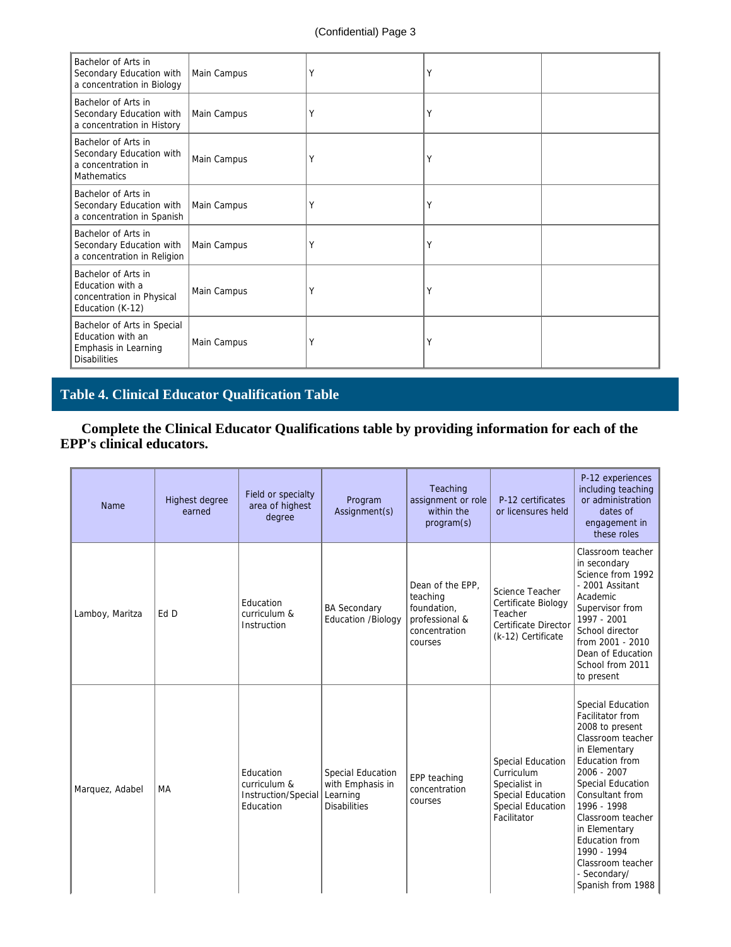| Bachelor of Arts in<br>Secondary Education with<br>a concentration in Biology                   | Main Campus | Υ | Υ |  |
|-------------------------------------------------------------------------------------------------|-------------|---|---|--|
| Bachelor of Arts in<br>Secondary Education with<br>a concentration in History                   | Main Campus | Υ | Υ |  |
| Bachelor of Arts in<br>Secondary Education with<br>a concentration in<br><b>Mathematics</b>     | Main Campus | Υ | Υ |  |
| Bachelor of Arts in<br>Secondary Education with<br>a concentration in Spanish                   | Main Campus | Υ | Υ |  |
| Bachelor of Arts in<br>Secondary Education with<br>a concentration in Religion                  | Main Campus | Υ | Υ |  |
| Bachelor of Arts in<br>Education with a<br>concentration in Physical<br>Education (K-12)        | Main Campus | Υ | Υ |  |
| Bachelor of Arts in Special<br>Education with an<br>Emphasis in Learning<br><b>Disabilities</b> | Main Campus | Υ | Υ |  |

# **Table 4. Clinical Educator Qualification Table**

 **Complete the Clinical Educator Qualifications table by providing information for each of the EPP's clinical educators.**

| Name            | Highest degree<br>earned | Field or specialty<br>area of highest<br>degree               | Program<br>Assignment(s)                                                 | Teaching<br>assignment or role<br>within the<br>program(s)                                | P-12 certificates<br>or licensures held                                                                                        | P-12 experiences<br>including teaching<br>or administration<br>dates of<br>engagement in<br>these roles                                                                                                                                                                                                                 |
|-----------------|--------------------------|---------------------------------------------------------------|--------------------------------------------------------------------------|-------------------------------------------------------------------------------------------|--------------------------------------------------------------------------------------------------------------------------------|-------------------------------------------------------------------------------------------------------------------------------------------------------------------------------------------------------------------------------------------------------------------------------------------------------------------------|
| Lamboy, Maritza | Ed D                     | Education<br>curriculum &<br>Instruction                      | <b>BA Secondary</b><br><b>Education /Biology</b>                         | Dean of the EPP,<br>teaching<br>foundation,<br>professional &<br>concentration<br>courses | Science Teacher<br>Certificate Biology<br>Teacher<br>Certificate Director<br>(k-12) Certificate                                | Classroom teacher<br>in secondary<br>Science from 1992<br>- 2001 Assitant<br>Academic<br>Supervisor from<br>1997 - 2001<br>School director<br>from 2001 - 2010<br>Dean of Education<br>School from 2011<br>to present                                                                                                   |
| Marquez, Adabel | MA                       | Education<br>curriculum &<br>Instruction/Special<br>Education | Special Education<br>with Emphasis in<br>Learning<br><b>Disabilities</b> | EPP teaching<br>concentration<br>courses                                                  | <b>Special Education</b><br>Curriculum<br>Specialist in<br><b>Special Education</b><br><b>Special Education</b><br>Facilitator | Special Education<br>Facilitator from<br>2008 to present<br>Classroom teacher<br>in Elementary<br>Education from<br>2006 - 2007<br>Special Education<br>Consultant from<br>1996 - 1998<br>Classroom teacher<br>in Elementary<br>Education from<br>1990 - 1994<br>Classroom teacher<br>- Secondary/<br>Spanish from 1988 |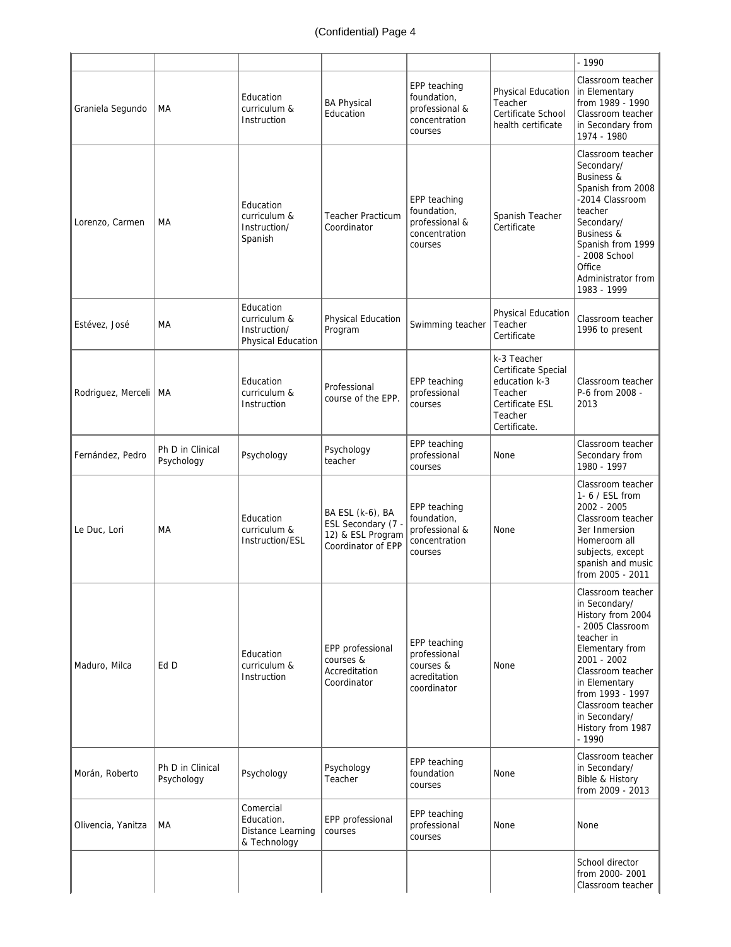|                    |                                |                                                                 |                                                                                   |                                                                           |                                                                                                              | $-1990$                                                                                                                                                                                                                                                    |
|--------------------|--------------------------------|-----------------------------------------------------------------|-----------------------------------------------------------------------------------|---------------------------------------------------------------------------|--------------------------------------------------------------------------------------------------------------|------------------------------------------------------------------------------------------------------------------------------------------------------------------------------------------------------------------------------------------------------------|
| Graniela Segundo   | МA                             | Education<br>curriculum &<br>Instruction                        | <b>BA Physical</b><br>Education                                                   | EPP teaching<br>foundation,<br>professional &<br>concentration<br>courses | Physical Education<br>Teacher<br>Certificate School<br>health certificate                                    | Classroom teacher<br>in Elementary<br>from 1989 - 1990<br>Classroom teacher<br>in Secondary from<br>1974 - 1980                                                                                                                                            |
| Lorenzo, Carmen    | МA                             | Education<br>curriculum &<br>Instruction/<br>Spanish            | <b>Teacher Practicum</b><br>Coordinator                                           | EPP teaching<br>foundation,<br>professional &<br>concentration<br>courses | Spanish Teacher<br>Certificate                                                                               | Classroom teacher<br>Secondary/<br>Business &<br>Spanish from 2008<br>-2014 Classroom<br>teacher<br>Secondary/<br><b>Business &amp;</b><br>Spanish from 1999<br>- 2008 School<br>Office<br>Administrator from<br>1983 - 1999                               |
| Estévez, José      | МA                             | Education<br>curriculum &<br>Instruction/<br>Physical Education | Physical Education<br>Program                                                     | Swimming teacher                                                          | Physical Education<br>Teacher<br>Certificate                                                                 | Classroom teacher<br>1996 to present                                                                                                                                                                                                                       |
| Rodriguez, Merceli | МA                             | Education<br>curriculum &<br>Instruction                        | Professional<br>course of the EPP.                                                | EPP teaching<br>professional<br>courses                                   | k-3 Teacher<br>Certificate Special<br>education k-3<br>Teacher<br>Certificate ESL<br>Teacher<br>Certificate. | Classroom teacher<br>P-6 from 2008 -<br>2013                                                                                                                                                                                                               |
| Fernández, Pedro   | Ph D in Clinical<br>Psychology | Psychology                                                      | Psychology<br>teacher                                                             | EPP teaching<br>professional<br>courses                                   | None                                                                                                         | Classroom teacher<br>Secondary from<br>1980 - 1997                                                                                                                                                                                                         |
| Le Duc. Lori       | MA                             | Education<br>curriculum &<br>Instruction/ESL                    | BA ESL (k-6), BA<br>ESL Secondary (7 -<br>12) & ESL Program<br>Coordinator of EPP | EPP teaching<br>foundation,<br>professional &<br>concentration<br>courses | None                                                                                                         | Classroom teacher<br>1- 6 / ESL from<br>2002 - 2005<br>Classroom teacher<br>3er Inmersion<br>Homeroom all<br>subjects, except<br>spanish and music<br>from 2005 - 2011                                                                                     |
| Maduro, Milca      | Ed D                           | Education<br>curriculum &<br>Instruction                        | EPP professional<br>courses &<br>Accreditation<br>Coordinator                     | EPP teaching<br>professional<br>courses &<br>acreditation<br>coordinator  | None                                                                                                         | Classroom teacher<br>in Secondary/<br>History from 2004<br>- 2005 Classroom<br>teacher in<br>Elementary from<br>2001 - 2002<br>Classroom teacher<br>in Elementary<br>from 1993 - 1997<br>Classroom teacher<br>in Secondary/<br>History from 1987<br>- 1990 |
| Morán, Roberto     | Ph D in Clinical<br>Psychology | Psychology                                                      | Psychology<br>Teacher                                                             | EPP teaching<br>foundation<br>courses                                     | None                                                                                                         | Classroom teacher<br>in Secondary/<br>Bible & History<br>from 2009 - 2013                                                                                                                                                                                  |
| Olivencia, Yanitza | MA                             | Comercial<br>Education.<br>Distance Learning<br>& Technology    | EPP professional<br>courses                                                       | EPP teaching<br>professional<br>courses                                   | None                                                                                                         | None                                                                                                                                                                                                                                                       |
|                    |                                |                                                                 |                                                                                   |                                                                           |                                                                                                              | School director<br>from 2000-2001<br>Classroom teacher                                                                                                                                                                                                     |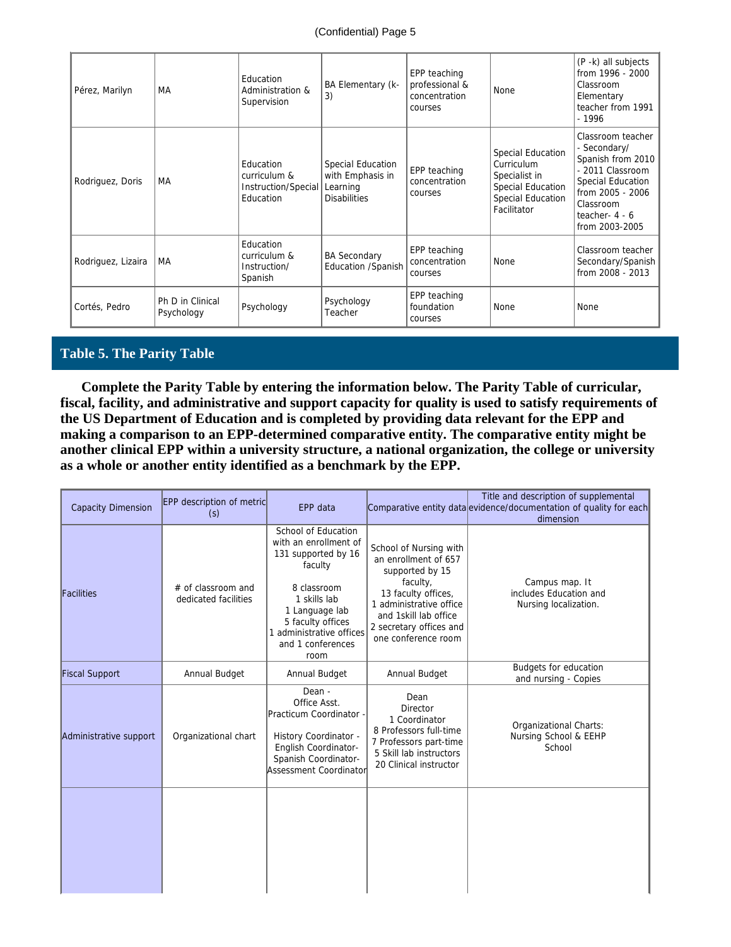| Pérez, Marilyn     | МA                             | Education<br>Administration &<br>Supervision                  | BA Elementary (k-<br>3)                                                  | EPP teaching<br>professional &<br>concentration<br>courses | None                                                                                                      | (P -k) all subjects<br>from 1996 - 2000<br>Classroom<br>Elementary<br>teacher from 1991<br>- 1996                                                                      |
|--------------------|--------------------------------|---------------------------------------------------------------|--------------------------------------------------------------------------|------------------------------------------------------------|-----------------------------------------------------------------------------------------------------------|------------------------------------------------------------------------------------------------------------------------------------------------------------------------|
| Rodriguez, Doris   | MA                             | Education<br>curriculum &<br>Instruction/Special<br>Education | Special Education<br>with Emphasis in<br>Learning<br><b>Disabilities</b> | EPP teaching<br>concentration<br>courses                   | Special Education<br>Curriculum<br>Specialist in<br>Special Education<br>Special Education<br>Facilitator | Classroom teacher<br>- Secondary/<br>Spanish from 2010<br>- 2011 Classroom<br>Special Education<br>from 2005 - 2006<br>Classroom<br>teacher- $4 - 6$<br>from 2003-2005 |
| Rodriguez, Lizaira | MA                             | Education<br>curriculum &<br>Instruction/<br>Spanish          | <b>BA Secondary</b><br>Education /Spanish                                | EPP teaching<br>concentration<br>courses                   | None                                                                                                      | Classroom teacher<br>Secondary/Spanish<br>from 2008 - 2013                                                                                                             |
| Cortés, Pedro      | Ph D in Clinical<br>Psychology | Psychology                                                    | Psychology<br>Teacher                                                    | EPP teaching<br>foundation<br>courses                      | None                                                                                                      | None                                                                                                                                                                   |

#### **Table 5. The Parity Table**

 **Complete the Parity Table by entering the information below. The Parity Table of curricular, fiscal, facility, and administrative and support capacity for quality is used to satisfy requirements of the US Department of Education and is completed by providing data relevant for the EPP and making a comparison to an EPP-determined comparative entity. The comparative entity might be another clinical EPP within a university structure, a national organization, the college or university as a whole or another entity identified as a benchmark by the EPP.** 

| <b>Capacity Dimension</b> | <b>EPP</b> description of metric<br>(s)    | EPP data                                                                                                                                                                                                      |                                                                                                                                                                                                            | Title and description of supplemental<br>Comparative entity data evidence/documentation of quality for each<br>dimension |
|---------------------------|--------------------------------------------|---------------------------------------------------------------------------------------------------------------------------------------------------------------------------------------------------------------|------------------------------------------------------------------------------------------------------------------------------------------------------------------------------------------------------------|--------------------------------------------------------------------------------------------------------------------------|
| Facilities                | # of classroom and<br>dedicated facilities | School of Education<br>with an enrollment of<br>131 supported by 16<br>faculty<br>8 classroom<br>1 skills lab<br>1 Language lab<br>5 faculty offices<br>1 administrative offices<br>and 1 conferences<br>room | School of Nursing with<br>an enrollment of 657<br>supported by 15<br>faculty,<br>13 faculty offices,<br>1 administrative office<br>and 1skill lab office<br>2 secretary offices and<br>one conference room | Campus map. It<br>includes Education and<br>Nursing localization.                                                        |
| <b>Fiscal Support</b>     | Annual Budget                              | Annual Budget                                                                                                                                                                                                 | Annual Budget                                                                                                                                                                                              | Budgets for education<br>and nursing - Copies                                                                            |
| Administrative support    | Organizational chart                       | Dean -<br>Office Asst.<br>Practicum Coordinator -<br>History Coordinator -<br>English Coordinator-<br>Spanish Coordinator-<br><b>Assessment Coordinator</b>                                                   | Dean<br>Director<br>1 Coordinator<br>8 Professors full-time<br>7 Professors part-time<br>5 Skill lab instructors<br>20 Clinical instructor                                                                 | Organizational Charts:<br>Nursing School & EEHP<br>School                                                                |
|                           |                                            |                                                                                                                                                                                                               |                                                                                                                                                                                                            |                                                                                                                          |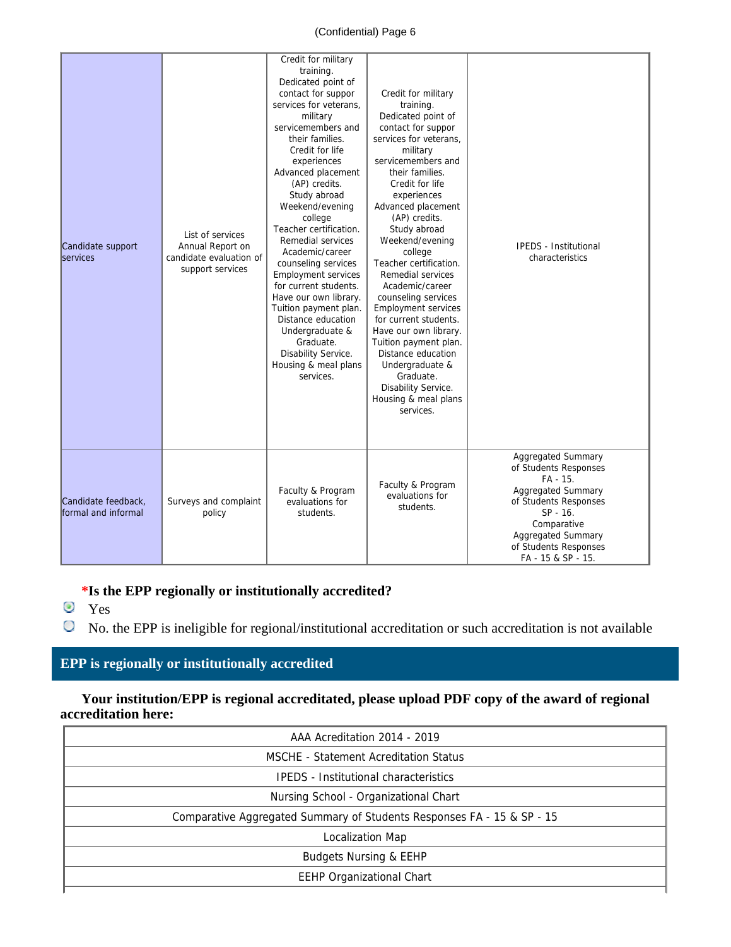#### (Confidential) Page 6

| Candidate support<br><b>Services</b>       | List of services<br>Annual Report on<br>candidate evaluation of<br>support services | Credit for military<br>training.<br>Dedicated point of<br>contact for suppor<br>services for veterans,<br>military<br>servicemembers and<br>their families.<br>Credit for life<br>experiences<br>Advanced placement<br>(AP) credits.<br>Study abroad<br>Weekend/evening<br>college<br>Teacher certification.<br>Remedial services<br>Academic/career<br>counseling services<br><b>Employment services</b><br>for current students.<br>Have our own library.<br>Tuition payment plan.<br>Distance education<br>Undergraduate &<br>Graduate.<br>Disability Service.<br>Housing & meal plans<br>services. | Credit for military<br>training.<br>Dedicated point of<br>contact for suppor<br>services for veterans,<br>military<br>servicemembers and<br>their families.<br>Credit for life<br>experiences<br>Advanced placement<br>(AP) credits.<br>Study abroad<br>Weekend/evening<br>college<br>Teacher certification.<br>Remedial services<br>Academic/career<br>counseling services<br><b>Employment services</b><br>for current students.<br>Have our own library.<br>Tuition payment plan.<br>Distance education<br>Undergraduate &<br>Graduate.<br>Disability Service.<br>Housing & meal plans<br>services. | <b>IPEDS - Institutional</b><br>characteristics                                                                                                                                                        |
|--------------------------------------------|-------------------------------------------------------------------------------------|--------------------------------------------------------------------------------------------------------------------------------------------------------------------------------------------------------------------------------------------------------------------------------------------------------------------------------------------------------------------------------------------------------------------------------------------------------------------------------------------------------------------------------------------------------------------------------------------------------|--------------------------------------------------------------------------------------------------------------------------------------------------------------------------------------------------------------------------------------------------------------------------------------------------------------------------------------------------------------------------------------------------------------------------------------------------------------------------------------------------------------------------------------------------------------------------------------------------------|--------------------------------------------------------------------------------------------------------------------------------------------------------------------------------------------------------|
| Candidate feedback,<br>formal and informal | Surveys and complaint<br>policy                                                     | Faculty & Program<br>evaluations for<br>students.                                                                                                                                                                                                                                                                                                                                                                                                                                                                                                                                                      | Faculty & Program<br>evaluations for<br>students.                                                                                                                                                                                                                                                                                                                                                                                                                                                                                                                                                      | Aggregated Summary<br>of Students Responses<br>FA - 15.<br>Aggregated Summary<br>of Students Responses<br>SP - 16.<br>Comparative<br>Aggregated Summary<br>of Students Responses<br>FA - 15 & SP - 15. |

#### **\*Is the EPP regionally or institutionally accredited?**

- **O** Yes
- No. the EPP is ineligible for regional/institutional accreditation or such accreditation is not available

## **EPP is regionally or institutionally accredited**

 **Your institution/EPP is regional accreditated, please upload PDF copy of the award of regional accreditation here:**

| AAA Acreditation 2014 - 2019                                           |
|------------------------------------------------------------------------|
| MSCHE - Statement Acreditation Status                                  |
| <b>IPEDS</b> - Institutional characteristics                           |
| Nursing School - Organizational Chart                                  |
| Comparative Aggregated Summary of Students Responses FA - 15 & SP - 15 |
| Localization Map                                                       |
| <b>Budgets Nursing &amp; EEHP</b>                                      |
| <b>EEHP Organizational Chart</b>                                       |
|                                                                        |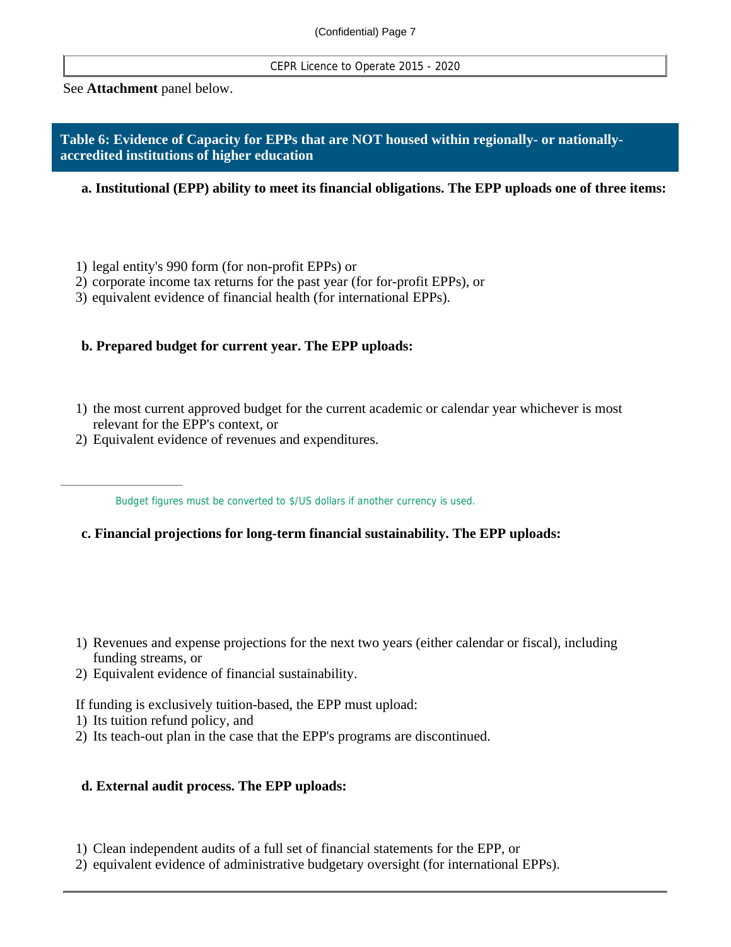CEPR Licence to Operate 2015 - 2020

See **Attachment** panel below.

#### **Table 6: Evidence of Capacity for EPPs that are NOT housed within regionally- or nationallyaccredited institutions of higher education**

**a. Institutional (EPP) ability to meet its financial obligations. The EPP uploads one of three items:** 

1) legal entity's 990 form (for non-profit EPPs) or

2) corporate income tax returns for the past year (for for-profit EPPs), or

3) equivalent evidence of financial health (for international EPPs).

#### **b. Prepared budget for current year. The EPP uploads:**

- 1) the most current approved budget for the current academic or calendar year whichever is most relevant for the EPP's context, or
- 2) Equivalent evidence of revenues and expenditures.

Budget figures must be converted to \$/US dollars if another currency is used.

- **c. Financial projections for long-term financial sustainability. The EPP uploads:**
- 1) Revenues and expense projections for the next two years (either calendar or fiscal), including funding streams, or
- 2) Equivalent evidence of financial sustainability.

If funding is exclusively tuition-based, the EPP must upload:

- 1) Its tuition refund policy, and
- 2) Its teach-out plan in the case that the EPP's programs are discontinued.

#### **d. External audit process. The EPP uploads:**

1) Clean independent audits of a full set of financial statements for the EPP, or

2) equivalent evidence of administrative budgetary oversight (for international EPPs).